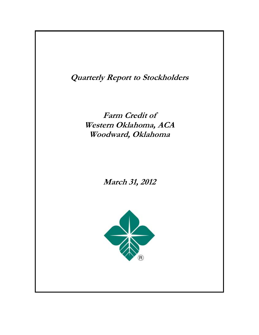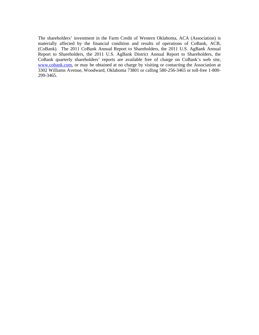The shareholders' investment in the Farm Credit of Western Oklahoma, ACA (Association) is materially affected by the financial condition and results of operations of CoBank, ACB, (CoBank). The 2011 CoBank Annual Report to Shareholders, the 2011 U.S. AgBank Annual Report to Shareholders, the 2011 U.S. AgBank District Annual Report to Shareholders, the CoBank quarterly shareholders' reports are available free of charge on CoBank's web site, www.cobank.com, or may be obtained at no charge by visiting or contacting the Association at 3302 Williams Avenue, Woodward, Oklahoma 73801 or calling 580-256-3465 or toll-free 1-800- 299-3465.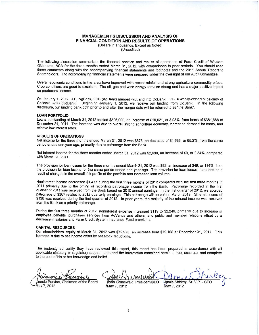### **MANAGEMENT'S DISCUSSION AND ANALYSIS OF** FINANCIAL CONDITION AND RESULTS OF OPERATIONS (Dollars in Thousands, Except as Noted)

(Unaudited)

The following discussion summarizes the financial position and results of operations of Farm Credit of Western Oklahoma, ACA for the three months ended March 31, 2012, with comparisons to prior periods. You should read these comments along with the accompanying financial statements and footnotes and the 2011 Annual Report to Shareholders. The accompanying financial statements were prepared under the oversight of our Audit Committee.

Overall economic conditions in the area have improved with recent rainfall and strong agriculture commodity prices. Crop conditions are good to excellent. The oil, gas and wind energy remains strong and has a major positive impact on producers' income.

On January 1, 2012, U.S. AgBank, FCB (AgBank) merged with and into CoBank, FCB, a wholly-owned subsidiary of CoBank, ACB (CoBank). Beginning January 1, 2012, we receive our funding from CoBank. In the following disclosure, our funding bank both prior to and after the merger date will be referred to as "the Bank".

#### **LOAN PORTFOLIO**

Loans outstanding at March 31, 2012 totaled \$396,909, an increase of \$15,021, or 3,93%, from loans of \$381,888 at December 31, 2011. The increase was due to overall strong agriculture economy, increased demand for loans, and relative low interest rates.

#### **RESULTS OF OPERATIONS**

Net income for the three months ended March 31, 2012 was \$873, an decrease of \$1,636, or 65.2%, from the same period ended one year ago, primarily due to patronage from the Bank.

Net interest income for the three months ended March 31, 2012 was \$2,690, an increase of \$9, or 0.34%, compared with March 31, 2011.

The provision for loan losses for the three months ended March 31, 2012 was \$92, an increase of \$49, or 114%, from the provision for loan losses for the same period ended one year ago. The provision for loan losses increased as a result of changes in the overall risk profile of the portfolio and increased loan volume.

Noninterest income decreased \$1,477 during the first three months of 2012 compared with the first three months in 2011 primarily due to the timing of recording patronage income from the Bank. Patronage recorded in the first quarter of 2011 was received from the Bank based on 2010 annual earnings. In the first quarter of 2012, we accrued patronage of \$367 related to 2012 quarterly earnings. This patronage will be paid in March 2013. Mineral income of \$138 was received during the first quarter of 2012. In prior years, the majority of the mineral income was received from the Bank as a priority patronage.

During the first three months of 2012, noninterest expense increased \$119 to \$2,240, primarily due to increase in employee benefits, purchased services from AgVantis and others, and public and member relations offset by a decrease in salaries and Farm Credit System Insurance Fund premiums.

#### **CAPITAL RESOURCES**

Our shareholders' equity at March 31, 2012 was \$79,975, an increase from \$79,108 at December 31, 2011. This increase is due to net income offset by net stock reductions.

The undersigned certify they have reviewed this report, this report has been prepared in accordance with all applicable statutory or regulatory requirements and the information contained herein is true, accurate, and complete to the best of his or her knowledge and belief.

immie Purvine, Chairman of the Board

May 7, 2012

fohn Grunewald, President/CEO Jamie Shirkey, Sr. V.P. /May 7, 2012 May 7, 2012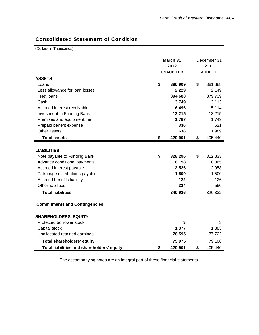۳

# Consolidated Statement of Condition

(Dollars in Thousands)

|                                            | March 31         | December 31 |                |  |
|--------------------------------------------|------------------|-------------|----------------|--|
|                                            | 2012             | 2011        |                |  |
|                                            | <b>UNAUDITED</b> |             | <b>AUDITED</b> |  |
| <b>ASSETS</b>                              |                  |             |                |  |
| Loans                                      | \$<br>396,909    | \$          | 381,888        |  |
| Less allowance for loan losses             | 2,229            |             | 2,149          |  |
| Net loans                                  | 394,680          |             | 379,739        |  |
| Cash                                       | 3,749            |             | 3,113          |  |
| Accrued interest receivable                | 6,496            |             | 5,114          |  |
| <b>Investment in Funding Bank</b>          | 13,215           |             | 13,215         |  |
| Premises and equipment, net                | 1,787            |             | 1,749          |  |
| Prepaid benefit expense                    | 336              |             | 521            |  |
| Other assets                               | 638              |             | 1,989          |  |
| <b>Total assets</b>                        | \$<br>420,901    | \$          | 405,440        |  |
|                                            |                  |             |                |  |
| <b>LIABILITIES</b>                         |                  |             |                |  |
| Note payable to Funding Bank               | \$<br>328,296    | \$          | 312,833        |  |
| Advance conditional payments               | 8,158            |             | 8,365          |  |
| Accrued interest payable                   | 2,526            |             | 2,958          |  |
| Patronage distributions payable            | 1,500            |             | 1,500          |  |
| Accrued benefits liability                 | 122              |             | 126            |  |
| <b>Other liabilities</b>                   | 324              |             | 550            |  |
| <b>Total liabilities</b>                   | 340,926          |             | 326,332        |  |
| <b>Commitments and Contingencies</b>       |                  |             |                |  |
| <b>SHAREHOLDERS' EQUITY</b>                |                  |             |                |  |
| Protected borrower stock                   | 3                |             | 3              |  |
| Capital stock                              | 1,377            |             | 1,383          |  |
| Unallocated retained earnings              | 78,595           |             | 77,722         |  |
| <b>Total shareholders' equity</b>          | 79,975           |             | 79,108         |  |
| Total liabilities and shareholders' equity | \$<br>420,901    | \$          | 405,440        |  |

The accompanying notes are an integral part of these financial statements.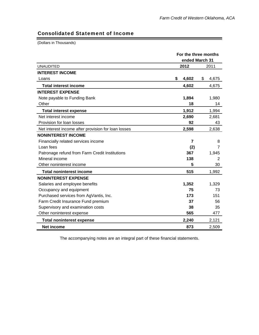## Consolidated Statement of Income

(Dollars in Thousands)

|                                                     | For the three months |                |  |  |
|-----------------------------------------------------|----------------------|----------------|--|--|
|                                                     |                      | ended March 31 |  |  |
| <b>UNAUDITED</b>                                    | 2012                 | 2011           |  |  |
| <b>INTEREST INCOME</b>                              |                      |                |  |  |
| Loans                                               | \$<br>4,602          | \$<br>4,675    |  |  |
| <b>Total interest income</b>                        | 4,602                | 4,675          |  |  |
| <b>INTEREST EXPENSE</b>                             |                      |                |  |  |
| Note payable to Funding Bank                        | 1,894                | 1,980          |  |  |
| Other                                               | 18                   | 14             |  |  |
| <b>Total interest expense</b>                       | 1,912                | 1,994          |  |  |
| Net interest income                                 | 2,690                | 2,681          |  |  |
| Provision for loan losses                           | 92                   | 43             |  |  |
| Net interest income after provision for loan losses | 2,598                | 2,638          |  |  |
| <b>NONINTEREST INCOME</b>                           |                      |                |  |  |
| Financially related services income                 | $\overline{7}$       | 8              |  |  |
| Loan fees                                           | (2)                  | 7              |  |  |
| Patronage refund from Farm Credit Institutions      | 367                  | 1,945          |  |  |
| Mineral income                                      | 138                  | 2              |  |  |
| Other noninterest income                            | 5                    | 30             |  |  |
| <b>Total noninterest income</b>                     | 515                  | 1,992          |  |  |
| <b>NONINTEREST EXPENSE</b>                          |                      |                |  |  |
| Salaries and employee benefits                      | 1,352                | 1,329          |  |  |
| Occupancy and equipment                             | 75                   | 73             |  |  |
| Purchased services from AgVantis, Inc.              | 173                  | 151            |  |  |
| Farm Credit Insurance Fund premium                  | 37                   | 56             |  |  |
| Supervisory and examination costs                   | 38                   | 35             |  |  |
| Other noninterest expense                           | 565                  | 477            |  |  |
| <b>Total noninterest expense</b>                    | 2,240                | 2,121          |  |  |
| <b>Net income</b>                                   | 873                  | 2,509          |  |  |

The accompanying notes are an integral part of these financial statements.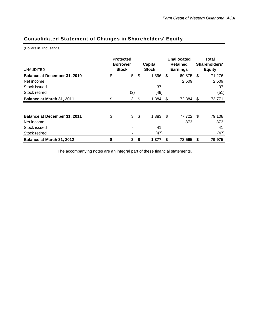## Consolidated Statement of Changes in Shareholders' Equity

(Dollars in Thousands)

| <b>UNAUDITED</b>                    | <b>Protected</b><br><b>Borrower</b><br><b>Stock</b> |                          |     | <b>Capital</b><br><b>Stock</b> |     | Unallocated<br><b>Retained</b><br><b>Earnings</b> | Total<br>Shareholders'<br><b>Equity</b> |        |
|-------------------------------------|-----------------------------------------------------|--------------------------|-----|--------------------------------|-----|---------------------------------------------------|-----------------------------------------|--------|
| Balance at December 31, 2010        | \$                                                  | $\overline{5}$           | \$  | 1,396                          | \$  | 69,875                                            | -\$                                     | 71,276 |
| Net income                          |                                                     |                          |     |                                |     | 2,509                                             |                                         | 2,509  |
| Stock issued                        |                                                     |                          |     | 37                             |     |                                                   |                                         | 37     |
| Stock retired                       |                                                     | (2)                      |     | (49)                           |     |                                                   |                                         | (51)   |
| Balance at March 31, 2011           | \$                                                  | 3                        | \$  | 1,384                          | -\$ | 72,384                                            | - \$                                    | 73,771 |
|                                     |                                                     |                          |     |                                |     |                                                   |                                         |        |
| <b>Balance at December 31, 2011</b> | \$                                                  | 3                        | -\$ | $1,383$ \$                     |     | 77,722                                            | - \$                                    | 79,108 |
| Net income                          |                                                     |                          |     |                                |     | 873                                               |                                         | 873    |
| Stock issued                        |                                                     |                          |     | 41                             |     |                                                   |                                         | 41     |
| Stock retired                       |                                                     | $\overline{\phantom{0}}$ |     | (47)                           |     |                                                   |                                         | (47)   |
| Balance at March 31, 2012           | \$                                                  | 3                        | \$  | 1,377                          | S   | 78,595                                            | \$                                      | 79,975 |

The accompanying notes are an integral part of these financial statements.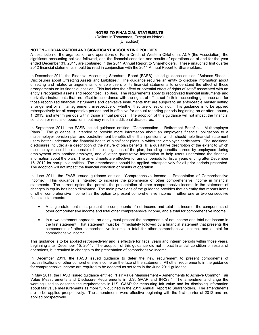## **NOTES TO FINANCIAL STATEMENTS**

(Dollars in Thousands, Except as Noted) (Unaudited)

### **NOTE 1 - ORGANIZATION AND SIGNIFICANT ACCOUNTING POLICIES**

A description of the organization and operations of Farm Credit of Western Oklahoma, ACA (the Association), the significant accounting policies followed, and the financial condition and results of operations as of and for the year ended December 31, 2011, are contained in the 2011 Annual Report to Shareholders. These unaudited first quarter 2012 financial statements should be read in conjunction with the 2011 Annual Report to Shareholders.

In December 2011, the Financial Accounting Standards Board (FASB) issued guidance entitled, "Balance Sheet – Disclosures about Offsetting Assets and Liabilities." The guidance requires an entity to disclose information about offsetting and related arrangements to enable users of its financial statements to understand the effect of those arrangements on its financial position. This includes the effect or potential effect of rights of setoff associated with an entity's recognized assets and recognized liabilities. The requirements apply to recognized financial instruments and derivative instruments that are offset in accordance with the rights of offset set forth in accounting guidance and for those recognized financial instruments and derivative instruments that are subject to an enforceable master netting arrangement or similar agreement, irrespective of whether they are offset or not. This guidance is to be applied retrospectively for all comparative periods and is effective for annual reporting periods beginning on or after January 1, 2013, and interim periods within those annual periods. The adoption of this guidance will not impact the financial condition or results of operations, but may result in additional disclosures.

In September 2011, the FASB issued guidance entitled, "Compensation – Retirement Benefits – Multiemployer Plans." The guidance is intended to provide more information about an employer's financial obligations to a multiemployer pension plan and postretirement benefits other than pensions, which should help financial statement users better understand the financial health of significant plans in which the employer participates. The additional disclosures include: a) a description of the nature of plan benefits, b) a qualitative description of the extent to which the employer could be responsible for the obligations of the plan, including benefits earned by employees during employment with another employer, and c) other quantitative information to help users understand the financial information about the plan. The amendments are effective for annual periods for fiscal years ending after December 15, 2012 for non-public entities. The amendments should be applied retrospectively for all prior periods presented. The adoption will not impact the financial condition or results of operation.

In June 2011, the FASB issued guidance entitled, "Comprehensive Income – Presentation of Comprehensive Income." This guidance is intended to increase the prominence of other comprehensive income in financial statements. The current option that permits the presentation of other comprehensive income in the statement of changes in equity has been eliminated. The main provisions of the guidance provides that an entity that reports items of other comprehensive income has the option to present comprehensive income in either one or two consecutive financial statements:

- A single statement must present the components of net income and total net income, the components of other comprehensive income and total other comprehensive income, and a total for comprehensive income.
- In a two-statement approach, an entity must present the components of net income and total net income in the first statement. That statement must be immediately followed by a financial statement that presents the components of other comprehensive income, a total for other comprehensive income, and a total for comprehensive income.

This guidance is to be applied retrospectively and is effective for fiscal years and interim periods within those years, beginning after December 15, 2011. The adoption of this guidance did not impact financial condition or results of operations, but resulted in changes to the presentation of comprehensive income.

In December 2011, the FASB issued guidance to defer the new requirement to present components of reclassifications of other comprehensive income on the face of the statement. All other requirements in the guidance for comprehensive income are required to be adopted as set forth in the June 2011 guidance.

In May 2011, the FASB issued guidance entitled, "Fair Value Measurement – Amendments to Achieve Common Fair Value Measurements and Disclosure Requirements in U.S. GAAP and IFRSs." The amendments change the wording used to describe the requirements in U.S. GAAP for measuring fair value and for disclosing information about fair value measurements as more fully outlined in the 2011 Annual Report to Shareholders. The amendments are to be applied prospectively. The amendments were effective beginning with the first quarter of 2012 and are applied prospectively.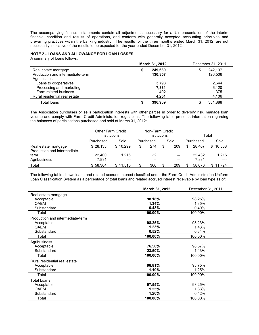The accompanying financial statements contain all adjustments necessary for a fair presentation of the interim financial condition and results of operations, and conform with generally accepted accounting principles and prevailing practices within the banking industry. The results for the three months ended March 31, 2012, are not necessarily indicative of the results to be expected for the year ended December 31, 2012.

## **NOTE 2 - LOANS AND ALLOWANCE FOR LOAN LOSSES**

A summary of loans follows.

|                                  | <b>March 31, 2012</b> | December 31, 2011 |  |  |
|----------------------------------|-----------------------|-------------------|--|--|
| Real estate mortgage             | 249.680               | 242,137<br>\$     |  |  |
| Production and intermediate-term | 130.857               | 126.506           |  |  |
| Agribusiness:                    |                       |                   |  |  |
| Loans to cooperatives            | 3,798                 | 2,644             |  |  |
| Processing and marketing         | 7,831                 | 6,120             |  |  |
| Farm related business            | 492                   | 375               |  |  |
| Rural residential real estate    | 4.251                 | 4,106             |  |  |
| Total loans                      | 396.909               | 381.888           |  |  |

The Association purchases or sells participation interests with other parties in order to diversify risk, manage loan volume and comply with Farm Credit Administration regulations. The following table presents information regarding the balances of participations purchased and sold at March 31, 2012:

|                                                      | <b>Other Farm Credit</b><br>Institutions | Non-Farm Credit<br>Institutions |                                       | Total |    |           |               |  |
|------------------------------------------------------|------------------------------------------|---------------------------------|---------------------------------------|-------|----|-----------|---------------|--|
|                                                      | Purchased                                | Sold                            | Purchased                             | Sold  |    | Purchased | Sold          |  |
| Real estate mortgage<br>Production and intermediate- | \$28.133                                 | \$10.299                        | 274                                   | 209   | \$ | 28.407    | 10.508<br>SS. |  |
| term                                                 | 22,400                                   | 1.216                           | 32                                    | $---$ |    | 22.432    | 1,216         |  |
| Agribusiness                                         | 7.831                                    | $---$                           | $\hspace{0.05cm}$ – $\hspace{0.05cm}$ | $---$ |    | 7.831     | ----          |  |
| Total                                                | \$58.364                                 | \$11.515                        | 306                                   | 209   |    | 58.670    | \$11.724      |  |

The following table shows loans and related accrued interest classified under the Farm Credit Administration Uniform Loan Classification System as a percentage of total loans and related accrued interest receivable by loan type as of:

|                                  | March 31, 2012 | December 31, 2011 |
|----------------------------------|----------------|-------------------|
| Real estate mortgage             |                |                   |
| Acceptable                       | 98.18%         | 98.25%            |
| <b>OAEM</b>                      | 1.34%          | 1.35%             |
| Substandard                      | 0.48%          | 0.40%             |
| Total                            | 100.00%        | 100.00%           |
| Production and intermediate-term |                |                   |
| Acceptable                       | 98.25%         | 98.23%            |
| <b>OAFM</b>                      | 1.23%          | 1.43%             |
| Substandard                      | 0.52%          | 0.34%             |
| Total                            | 100.00%        | 100.00%           |
| Agribusiness                     |                |                   |
| Acceptable                       | 76.50%         | 98.57%            |
| Substandard                      | 23.50%         | 1.43%             |
| Total                            | 100.00%        | 100.00%           |
| Rural residential real estate    |                |                   |
| Acceptable                       | 98.81%         | 98.75%            |
| Substandard                      | 1.19%          | 1.25%             |
| Total                            | 100.00%        | 100.00%           |
| <b>Total Loans</b>               |                |                   |
| Acceptable                       | 97.55%         | 98.25%            |
| <b>OAEM</b>                      | 1.25%          | 1.33%             |
| Substandard                      | 1.20%          | 0.42%             |
| Total                            | 100.00%        | 100.00%           |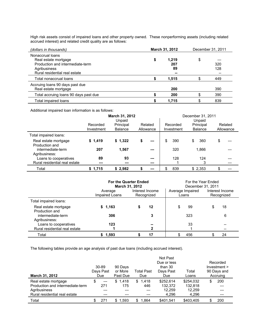High risk assets consist of impaired loans and other property owned. These nonperforming assets (including related accrued interest) and related credit quality are as follows:

| (dollars in thousands)                                                                                                        | <b>March 31, 2012</b>          | December 31, 2011 |
|-------------------------------------------------------------------------------------------------------------------------------|--------------------------------|-------------------|
| Nonaccrual loans<br>Real estate mortgage<br>Production and intermediate-term<br>Agribusiness<br>Rural residential real estate | \$<br>1.219<br>207<br>89<br>-- | \$<br>320<br>128  |
| Total nonaccrual loans                                                                                                        | 1,515                          | 449               |
| Accruing loans 90 days past due<br>Real estate mortgage                                                                       | 200                            | 390               |
| Total accruing loans 90 days past due                                                                                         | 200                            | 390               |
| Total impaired loans                                                                                                          | 1,715                          | 839               |

Additional impaired loan information is as follows:

|                                        |                        | March 31, 2012<br>Unpaid    |                      | December 31, 2011<br>Unpaid                           |           |                      |  |  |  |
|----------------------------------------|------------------------|-----------------------------|----------------------|-------------------------------------------------------|-----------|----------------------|--|--|--|
|                                        | Recorded<br>Investment | Principal<br><b>Balance</b> | Related<br>Allowance | Principal<br>Recorded<br>Investment<br><b>Balance</b> |           | Related<br>Allowance |  |  |  |
| Total impaired loans:                  |                        |                             |                      |                                                       |           |                      |  |  |  |
| Real estate mortgage<br>Production and | \$1,419                | \$1,322                     | \$<br>---            | 390<br>\$                                             | 360<br>\$ | \$                   |  |  |  |
| intermediate-term<br>Agribusiness:     | 207                    | 1,567                       | ---                  | 320                                                   | 1.866     |                      |  |  |  |
| Loans to cooperatives                  | 89                     | 93                          | ---                  | 128                                                   | 124       |                      |  |  |  |
| Rural residential real estate          | $---$                  |                             |                      |                                                       | 3         |                      |  |  |  |
| Total                                  | \$1,715                | \$2.982                     | ---                  | 839                                                   | \$2,353   | \$                   |  |  |  |

|                                        |                           | <b>For the Quarter Ended</b><br>March 31, 2012 | For the Year Ended<br>December 31, 2011 |                               |  |  |  |
|----------------------------------------|---------------------------|------------------------------------------------|-----------------------------------------|-------------------------------|--|--|--|
|                                        | Average<br>Impaired Loans | Interest Income<br>Recognized                  | Average Impaired<br>Loans               | Interest Income<br>Recognized |  |  |  |
| Total impaired loans:                  |                           |                                                |                                         |                               |  |  |  |
| Real estate mortgage<br>Production and | \$1,163                   | 12                                             | 99<br>S                                 | 18<br>S                       |  |  |  |
| intermediate-term<br>Agribusiness:     | 306                       | 3                                              | 323                                     | 6                             |  |  |  |
| Loans to cooperatives                  | 123                       |                                                | 33                                      |                               |  |  |  |
| Rural residential real estate          |                           | 2                                              |                                         |                               |  |  |  |
| Total                                  | \$1,593                   | 17                                             | 456                                     | 24                            |  |  |  |

The following tables provide an age analysis of past due loans (including accrued interest).

|                                  | 30-89            | 90 Days             |     |                          | Recorded<br>$Investment$ > |                |    |                         |  |  |
|----------------------------------|------------------|---------------------|-----|--------------------------|----------------------------|----------------|----|-------------------------|--|--|
| March 31, 2012                   | Days Past<br>Due | or More<br>Past Due |     | <b>Total Past</b><br>Due | Days Past<br>Due           | Total<br>Loans |    | 90 Days and<br>Accruing |  |  |
| Real estate mortgage             | \$<br>$---$      | \$1.418             | \$. | 1.418                    | \$252,614                  | \$254.032      | \$ | 200                     |  |  |
| Production and intermediate-term | 271              | 175                 |     | 446                      | 132.372                    | 132.818        |    | ---                     |  |  |
| Agribusiness                     |                  |                     |     |                          | 12,259                     | 12,259         |    | ---                     |  |  |
| Rural residential real estate    |                  |                     |     |                          | 4,296                      | 4,296          |    | ---                     |  |  |
| Total                            | 271              | \$1,593             | S.  | 1.864                    | \$401.541                  | \$403.405      |    | 200                     |  |  |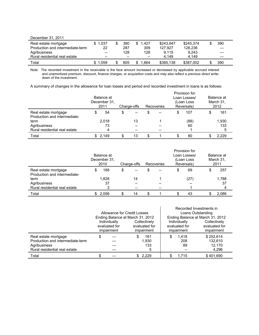| December 31, 2011                |                   |       |                   |           |           |       |  |
|----------------------------------|-------------------|-------|-------------------|-----------|-----------|-------|--|
| Real estate mortgage             | \$1.037           | 390   | 1.427<br>S.       | \$243.947 | \$245.374 | 390   |  |
| Production and intermediate-term | 22                | 287   | 309               | 127.927   | 128.236   | $---$ |  |
| Agribusiness                     | $\hspace{0.05cm}$ | 128   | 128               | 9.115     | 9.243     | $---$ |  |
| Rural residential real estate    | $- -$             | $- -$ | $\hspace{0.05cm}$ | 4.149     | 4.149     | $---$ |  |
| Total                            | \$1.059           | 805   | .864              | \$385,138 | \$387,002 | 390   |  |

Note: The recorded investment in the receivable is the face amount increased or decreased by applicable accrued interest and unamortized premium, discount, finance charges, or acquisition costs and may also reflect a previous direct writedown of the investment.

A summary of changes in the allowance for loan losses and period end recorded investment in loans is as follows:

|                               | Balance at<br>December 31.<br>2011 |    | Charge-offs                           |  | Recoveries                            |  | Provision for<br>Loan Losses/<br>(Loan Loss<br>Reversals) | Balance at<br>March 31,<br>2012 |       |  |
|-------------------------------|------------------------------------|----|---------------------------------------|--|---------------------------------------|--|-----------------------------------------------------------|---------------------------------|-------|--|
| Real estate mortgage          | 54                                 | \$ | $\hspace{0.05cm}$ – $\hspace{0.05cm}$ |  | $- -$                                 |  | 107                                                       |                                 | 161   |  |
| Production and intermediate-  |                                    |    |                                       |  |                                       |  |                                                           |                                 |       |  |
| term                          | 2,018                              |    | 13                                    |  |                                       |  | (88)                                                      |                                 | 1,930 |  |
| Agribusiness                  | 73                                 |    |                                       |  |                                       |  | 60                                                        |                                 | 133   |  |
| Rural residential real estate | 4                                  |    | $- -$                                 |  | $\hspace{0.05cm}$ – $\hspace{0.05cm}$ |  |                                                           |                                 | 5     |  |
| Total                         | \$2.149                            | £. | 13                                    |  |                                       |  | 80                                                        |                                 | 2.229 |  |

|                                                      | Balance at<br>December 31.<br>2010 |       | Charge-offs |    | Recoveries |    | Provision for<br>Loan Losses/<br>(Loan Loss<br>Reversals) |    | Balance at<br>March 31,<br>2011 |       |
|------------------------------------------------------|------------------------------------|-------|-------------|----|------------|----|-----------------------------------------------------------|----|---------------------------------|-------|
| Real estate mortgage<br>Production and intermediate- | Ъ                                  | 188   | \$          |    | \$         | -- |                                                           | 69 | S                               | 257   |
| term                                                 | 1,828                              |       | 14          |    |            |    | (27)                                                      |    | 1,788                           |       |
| Agribusiness                                         | 37                                 |       |             |    |            |    | --                                                        |    | 37                              |       |
| Rural residential real estate                        |                                    |       |             |    |            | -- |                                                           |    |                                 |       |
| Total                                                |                                    | 2,056 |             | 14 |            |    |                                                           | 43 |                                 | 2,086 |

|                                  |                                  |                             |  |               | Recorded Investments in |                                  |               |  |  |  |
|----------------------------------|----------------------------------|-----------------------------|--|---------------|-------------------------|----------------------------------|---------------|--|--|--|
|                                  |                                  | Allowance for Credit Losses |  |               | Loans Outstanding       |                                  |               |  |  |  |
|                                  | Ending Balance at March 31, 2012 |                             |  |               |                         | Ending Balance at March 31, 2012 |               |  |  |  |
|                                  | Individually<br>Collectively     |                             |  |               | Individually            | Collectively                     |               |  |  |  |
|                                  | evaluated for                    |                             |  | evaluated for |                         | evaluated for                    | evaluated for |  |  |  |
|                                  | impairment<br>impairment         |                             |  |               |                         | impairment                       | impairment    |  |  |  |
| Real estate mortgage             | S                                |                             |  | 161           |                         | 1.418                            | \$252.614     |  |  |  |
| Production and intermediate-term |                                  |                             |  | 1.930         |                         | 208                              | 132.610       |  |  |  |
| Agribusiness                     |                                  |                             |  | 133           |                         | 89                               | 12.170        |  |  |  |
| Rural residential real estate    |                                  |                             |  | 5             |                         |                                  | 4.296         |  |  |  |
| Total                            |                                  |                             |  | \$2.229       |                         | 1.715                            | \$401.690     |  |  |  |